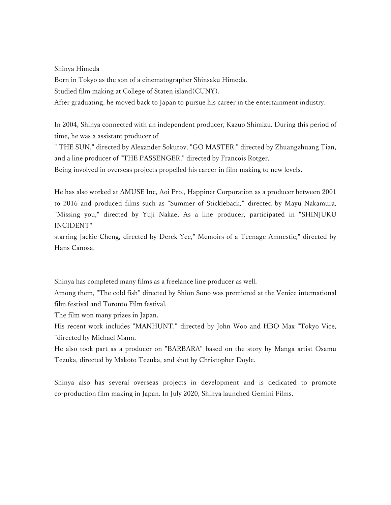Shinya Himeda

Born in Tokyo as the son of a cinematographer Shinsaku Himeda.

Studied film making at College of Staten island(CUNY).

After graduating, he moved back to Japan to pursue his career in the entertainment industry.

In 2004, Shinya connected with an independent producer, Kazuo Shimizu. During this period of time, he was a assistant producer of

" THE SUN," directed by Alexander Sokurov, "GO MASTER," directed by Zhuangzhuang Tian, and a line producer of "THE PASSENGER," directed by Francois Rotger.

Being involved in overseas projects propelled his career in film making to new levels.

He has also worked at AMUSE Inc, Aoi Pro., Happinet Corporation as a producer between 2001 to 2016 and produced films such as "Summer of Stickleback," directed by Mayu Nakamura, "Missing you," directed by Yuji Nakae, As a line producer, participated in "SHINJUKU INCIDENT"

starring Jackie Cheng, directed by Derek Yee," Memoirs of a Teenage Amnestic," directed by Hans Canosa.

Shinya has completed many films as a freelance line producer as well.

Among them, "The cold fish" directed by Shion Sono was premiered at the Venice international film festival and Toronto Film festival.

The film won many prizes in Japan.

His recent work includes "MANHUNT," directed by John Woo and HBO Max "Tokyo Vice, "directed by Michael Mann.

He also took part as a producer on "BARBARA" based on the story by Manga artist Osamu Tezuka, directed by Makoto Tezuka, and shot by Christopher Doyle.

Shinya also has several overseas projects in development and is dedicated to promote co-production film making in Japan. In July 2020, Shinya launched Gemini Films.